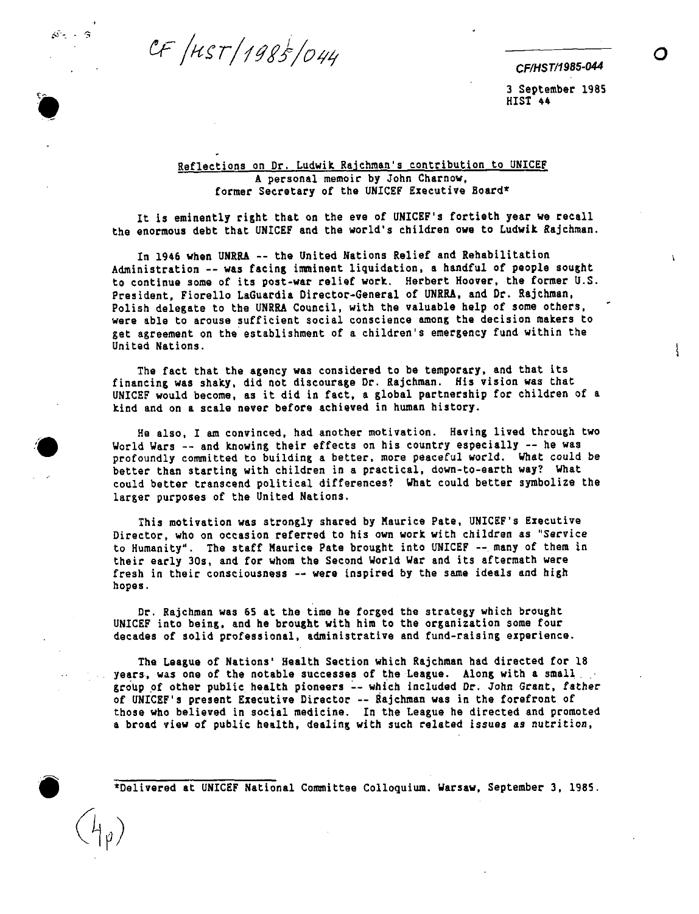CF /HST/1985/044

 $\mathcal{L}^{\mathbb{Z}_p} = \mathbb{Q}$ 

 $\left\{ \right.$ 

3 September 1985 HIST 44

## Reflections on Dr. Ludwik Rajchman's contribution to UNICEF A personal memoir by John Charnow, former Secretary of the UNICEF Executive Board\*

It is eminently right that on the eve of UNICEF's fortieth year we recall the enormous debt that UNICEF and the world's children owe to Ludwik Rajchman.

In 1946 when UNRRA -- the United Nations Relief and Rehabilitation Administration -- was facing imminent liquidation, a handful of people sought to continue some of its post-war relief work. Herbert Hoover, the former U.S. President, Fiorello LaGuardia Director-General of UNRRA, and Dr. Rajchman, Polish delegate to the UNRRA Council, with the valuable help of some others, were able to arouse sufficient social conscience among the decision makers to get agreement on the establishment of a children's emergency fund within the United Nations.

The fact that the agency was considered to be temporary, and that its financing was shaky, did not discourage Dr. Rajchman. His vision was that UNICEF would become, as it did in fact, a global partnership for children of a kind and on a scale never before achieved in human history.

He also, I am convinced, had another motivation. Having lived through two World Wars -- and knowing their effects on his country especially -- he was profoundly committed to building a better, more peaceful world. What could be better than starting with children in a practical, down-to-earth way? What could better transcend political differences? What could better symbolize the larger purposes of the United Nations.

This motivation was strongly shared by Maurice Pate, UNICEF's Executive Director, who on occasion referred to his own work with children as "Service to Humanity". The staff Maurice Pate brought into UNICEF -- many of them in their early 30s, and for whom the Second World War and its aftermath were fresh in their consciousness -- were inspired by the same ideals and high hopes.

Dr. Rajchman was 65 at the time he forged the strategy which brought UNICEF into being, and he brought with him to the organization some four decades of solid professional, administrative and fund-raising experience.

The League of Nations' Health Section which Rajchman had directed for 18 years, was one of the notable successes of the League. Along with a small group of other public health pioneers -- which included Dr. John Grant, father of UNICEF's present Executive Director -- Rajchman was in the forefront of those who believed in social medicine. In the League he directed and promoted a broad view of public health, dealing with such related issues as nutrition,

\*Delivered at UNICEF National Committee Colloquium. Warsaw, September 3, 1985.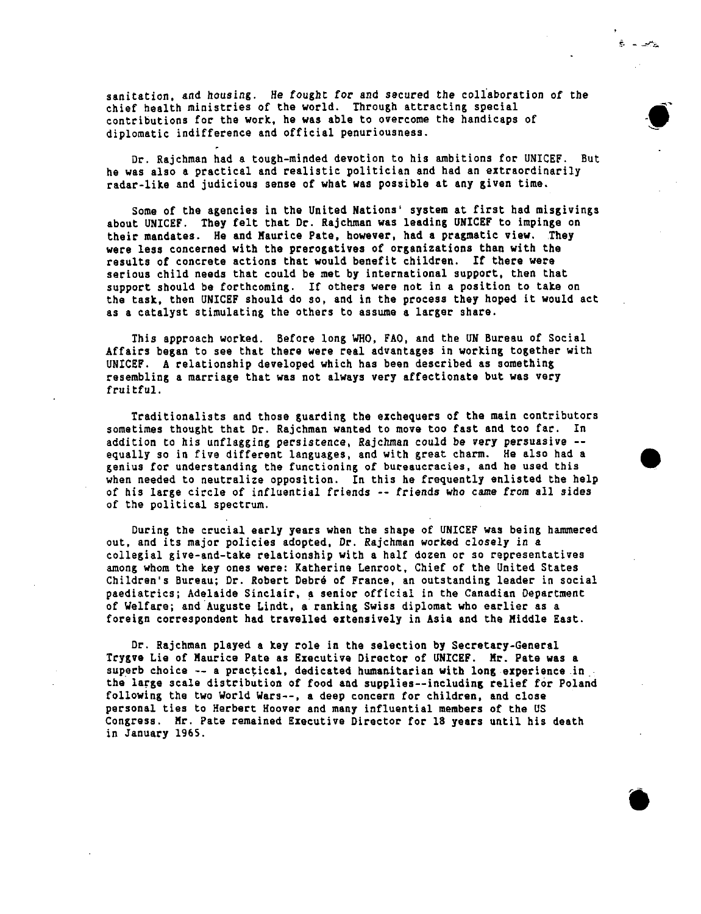sanitation, and housing. He fought for and secured the collaboration of the chief health ministries of the world. Through attracting special contributions for the work, he was able to overcome the handicaps of diplomatic indifferenceand official penuriousness.

 $\epsilon$  .  $\mathbb{R}$ 

-@

Dr. Rajchman had a tough-minded devotion to his ambitions for UNICEF. But he was also a practical and realistic politician and had an extraordinarily radar-like and judicious sense of what was possible at any given time.

Some of the agencies in the Unitad Nations' system at first had misgivings about UNICEF. They felt that Dr. Rajchman was leading UNICEF to impinge on their mandates. He and Maurice Pate, however, had a pragmatic view. They were less concerned with the prerogatives of organizations than with the results of concrete actions that would benefit children. If there were serious child needs that could be met by international support, then that support should be forthcoming. If others were not in a position to take on the task, then UNICEF should do so, and in the process they hoped it wouId act as a catalyst stimulating the others to assume a larger share.

This approachworked. Before long WHO, FAO, and the UN Bureau of Social Affairs began to see that there were real advantages in working together with UNICEF. A relationship developed which has been described as something resembling a marriage that was not always very affectionate but was very fruitful.

Traditionalists and those guarding the exchequers of the main contributors sometimes thought that Dr. Rajchman wanted to move too fast and too far. In addition to his unflagging persistence, Rajchman could be very persuasive -equally so in five different languages, and with great charm. He also had a genius for understanding the functioning of bureaucracies, and he used this when needed to neutralize opposition. In this he frequently enlisted the help of his large circle of influential friends -- friends who came from all sides of the political spectrum.

During the crucial early years when the shape of UNICEF was being hammered out, and its major policies adopted, Dr. Rajchman worked closely in a collegial give-and-take relationship with a half dozen or so representatives among whom the key ones were: Katherine Lenroot, Chief of the United States Children's Bureau; Dr. Robert Debré of France, an outstanding leader in social pediatrics; Adelaide Sinclair, a senior officiaI in the Canadian Department of Welfare; and Auguste Lindt, a ranking Swiss diplomatwho earlier aa a foreign correspondent had travelled extensively in Asia and the Middle East.

Dr. Rajchman played a key role in the selection by Secretary-General Trygve Lie of Maurice Pate as Executive Director of UNICEF. Mr. Pate was a superb choice  $--$  a practical, dedicated humanitarian with long experience in the large scale distribution of food and supplies--including relief for Poland following the two World Wars--, a deep concern for children, and close personal ties to Herbert Hoover and many influential members of the US Congress. Mr. Pate remained Executive Director for 18 years until his death in January 1965.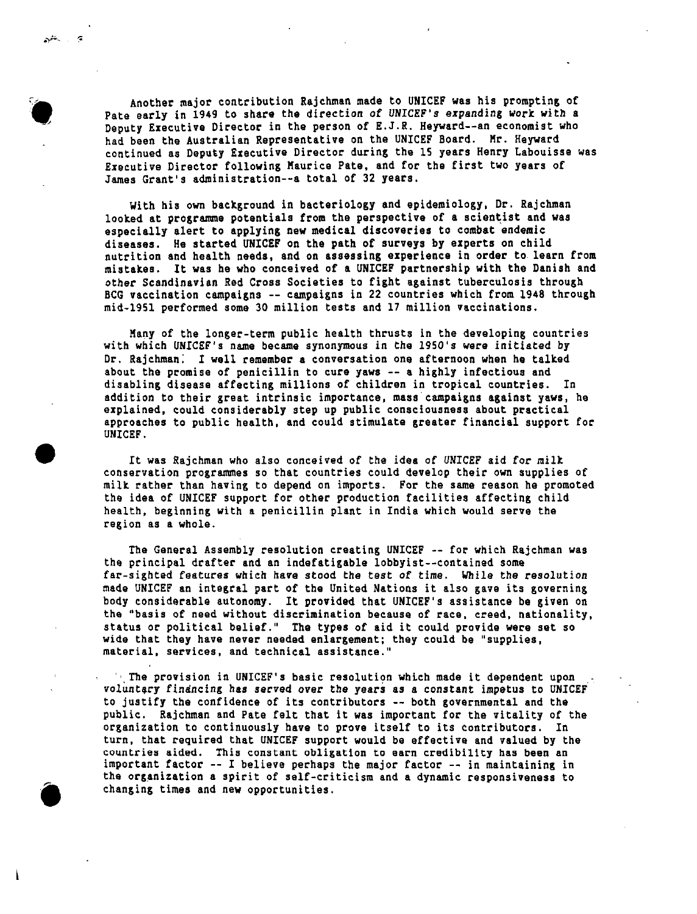:-

\*

,

'6

Another major contribution Rajchman made to UNICEF was his prompting of Pate early in 1949 to share the direction of UNICEF's expanding **work** with a Deputy Executive Director in the person of E.J.R. Heyward--an economist who had been the Australian Representative on the UNICEF Board. Mr. Heyward continuedas Deputy Executive Director during the 15 years Henry Labouisse WaS Executive Director following Maurice Pate, and for the first two years of Jamea Grant's administration--atotal of 32 years.

With his own background in bacteriology and epidemiology, Dr. Rajchman looked at programme potentials from the perspective of a scientist and was especially alert to applying new medical discoveries to combat endemic diseases. He started UNICEF on the path of surveys by experts on child nutrition and health needs, and on assessing experience in order to learn from mistakee. It was he who conceived of a UNICEF partnershipwith the Danish and other Scandinavian Red Cross Societies to fight against tuberculosis through BCG vaccination campaigns -- campaigns in 22 countries which from 1948 through mid-1951 performed some 30 million teats and 17 million vaccinations.

Many of the longer-term public health thrusts in the developing countries with which UNICEF's name became synonymous in the 1950's were initiated by Dr. Rajchman; I well remember a conversation one afternoon when he talked about the promise of penicillin to cure yaws -- a highly infectious and disabling disease affecting millions of children in tropical countries. In addition to their great intrinsic importance, mass campaigns against yaws, he explained, could considerably step up public consciousness about practical approaches to public health, and could stimulate greater financial support for UNICEF.

It was Rajchman who also conceived of the idea of UNICEF aid for milk conservation programmes so that countries could develop their own supplies of milk rather than having to depend on imports. For the same reason he promoted the idea of UNICEF support for other production facilities affecting child health, beginning with a penicillin plant in India which would serve the region as a whole.

The General Assembly resolution creating UNICEF -- for which Rajchman was the principal drafter and an indefatigable lobbyist--contained some far-sighted features which have stood the test of time. While the resolution made UNICEF an integralpart of the United Nations it also gave its governing body considerable autonomy. It provided that UNICEF's assistance be given on the "basis of naad without discriminationbecausa **of** race, creed, nationality, statua or political belief." The types of aid it could provide were set so wide that they have never needed enlargement; they could be "supplies, material, services, and technical assistance."

'. The provision in UNICEF's basic resolution which made it dependent upon voluntary financing has served over the years as a constant impetus to UNICEF to justify the confidence of its contributors -- both governmental and the public. Rajchman and Pate felt that it was important for the vitality of the organization to continuously have to prove itself to its contributors. In turn, that required that UNICEF support would be effective and valued by the countries aided. This constant obligation to earn credibility has been an important factor  $--$  I believe perhaps the major factor  $--$  in maintaining in the organization a spirit of self-criticism and a dynamic responsiveness to changing times and new opportunities.